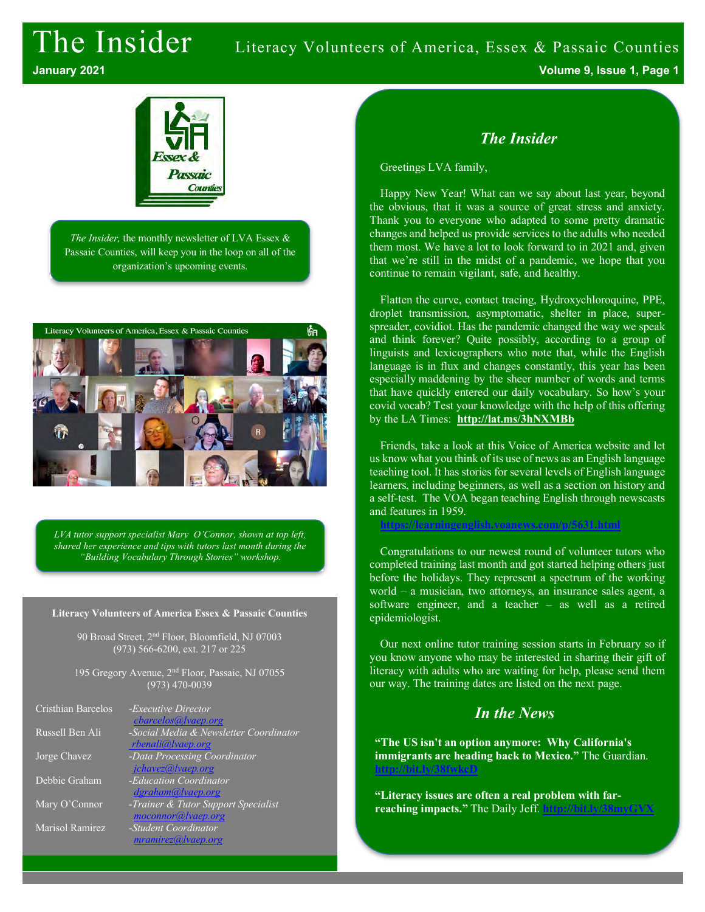# The Insider Literacy Volunteers of America, Essex & Passaic Counties **January 2021 Volume 9, Issue 1, Page 1**

Passaic Countie

*The Insider,* the monthly newsletter of LVA Essex & Passaic Counties, will keep you in the loop on all of the organization's upcoming events.



*LVA tutor support specialist Mary O'Connor, shown at top left, shared her experience and tips with tutors last month during the "Building Vocabulary Through Stories" workshop.*

#### **Literacy Volunteers of America Essex & Passaic Counties**

90 Broad Street, 2nd Floor, Bloomfield, NJ 07003 (973) 566-6200, ext. 217 or 225

195 Gregory Avenue, 2nd Floor, Passaic, NJ 07055 (973) 470-0039

| Cristhian Barcelos | - <i>Executive Director</i><br>cbarcelos@lvaep.org          |
|--------------------|-------------------------------------------------------------|
| Russell Ben Ali    | -Social Media & Newsletter Coordinator<br>rbenali@lvaep.org |
| Jorge Chavez       | -Data Processing Coordinator                                |
| Debbie Graham      | jchavez@lvaep.org<br>-Education Coordinator                 |
| Mary O'Connor      | dgraham@lvaep.org<br>-Trainer & Tutor Support Specialist    |
| Marisol Ramirez    | moconnor@lvaep.org<br>-Student Coordinator                  |
|                    | mramirez@, lvaep.org                                        |

## *The Insider*

Greetings LVA family,

Happy New Year! What can we say about last year, beyond the obvious, that it was a source of great stress and anxiety. Thank you to everyone who adapted to some pretty dramatic changes and helped us provide services to the adults who needed them most. We have a lot to look forward to in 2021 and, given that we're still in the midst of a pandemic, we hope that you continue to remain vigilant, safe, and healthy.

Flatten the curve, contact tracing, Hydroxychloroquine, PPE, droplet transmission, asymptomatic, shelter in place, superspreader, covidiot. Has the pandemic changed the way we speak and think forever? Quite possibly, according to a group of linguists and lexicographers who note that, while the English language is in flux and changes constantly, this year has been especially maddening by the sheer number of words and terms that have quickly entered our daily vocabulary. So how's your covid vocab? Test your knowledge with the help of this offering by the LA Times: **http://lat.ms/3hNXMBb**

Friends, take a look at this Voice of America website and let us know what you think of its use of news as an English language teaching tool. It has stories for several levels of English language learners, including beginners, as well as a section on history and a self-test. The VOA began teaching English through newscasts and features in 1959.

**https://learningenglish.voanews.com/p/5631.html**

Congratulations to our newest round of volunteer tutors who completed training last month and got started helping others just before the holidays. They represent a spectrum of the working world – a musician, two attorneys, an insurance sales agent, a software engineer, and a teacher – as well as a retired epidemiologist.

Our next online tutor training session starts in February so if you know anyone who may be interested in sharing their gift of literacy with adults who are waiting for help, please send them our way. The training dates are listed on the next page.

# *In the News*

**"The US isn't an option anymore: Why California's immigrants are heading back to Mexico."** The Guardian. **http://bit.ly/38fwkcD**

**"Literacy issues are often a real problem with farreaching impacts."** The Daily Jeff. **http://bit.ly/38myGVX**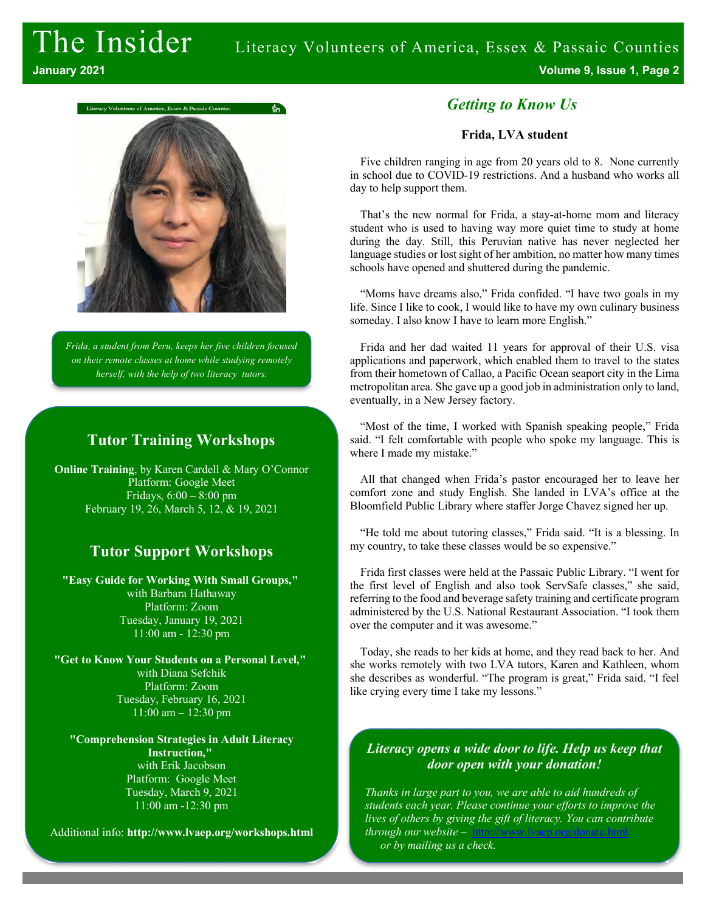# The Insider Literacy Volunteers of America, Essex & Passaic Counties **January 2021 Volume 9, Issue 1, Page 2**



*Frida, a student from Peru, keeps her five children focused on their remote classes at home while studying remotely herself, with the help of two literacy tutors.*

## **Tutor Training Workshops**

**Online Training**, by Karen Cardell & Mary O'Connor Platform: Google Meet Fridays,  $6:00 - 8:00$  pm February 19, 26, March 5, 12, & 19, 2021

# **Tutor Support Workshops**

**"Easy Guide for Working With Small Groups,"** with Barbara Hathaway Platform: Zoom Tuesday, January 19, 2021 11:00 am - 12:30 pm

**"Get to Know Your Students on a Personal Level,"** with Diana Sefchik Platform: Zoom Tuesday, February 16, 2021 11:00 am – 12:30 pm

**"Comprehension Strategies in Adult Literacy Instruction,"** with Erik Jacobson Platform: Google Meet Tuesday, March 9, 2021 11:00 am -12:30 pm

Additional info: **http://www.lvaep.org/workshops.html**

## *Getting to Know Us*

#### **Frida, LVA student**

Five children ranging in age from 20 years old to 8. None currently in school due to COVID-19 restrictions. And a husband who works all day to help support them.

That's the new normal for Frida, a stay-at-home mom and literacy student who is used to having way more quiet time to study at home during the day. Still, this Peruvian native has never neglected her language studies or lost sight of her ambition, no matter how many times schools have opened and shuttered during the pandemic.

"Moms have dreams also," Frida confided. "I have two goals in my life. Since I like to cook, I would like to have my own culinary business someday. I also know I have to learn more English."

Frida and her dad waited 11 years for approval of their U.S. visa applications and paperwork, which enabled them to travel to the states from their hometown of Callao, a Pacific Ocean seaport city in the Lima metropolitan area. She gave up a good job in administration only to land, eventually, in a New Jersey factory.

"Most of the time, I worked with Spanish speaking people," Frida said. "I felt comfortable with people who spoke my language. This is where I made my mistake."

All that changed when Frida's pastor encouraged her to leave her comfort zone and study English. She landed in LVA's office at the Bloomfield Public Library where staffer Jorge Chavez signed her up.

"He told me about tutoring classes," Frida said. "It is a blessing. In my country, to take these classes would be so expensive."

Frida first classes were held at the Passaic Public Library. "I went for the first level of English and also took ServSafe classes," she said, referring to the food and beverage safety training and certificate program administered by the U.S. National Restaurant Association. "I took them over the computer and it was awesome."

Today, she reads to her kids at home, and they read back to her. And she works remotely with two LVA tutors, Karen and Kathleen, whom she describes as wonderful. "The program is great," Frida said. "I feel like crying every time I take my lessons."

### *Literacy opens a wide door to life. Help us keep that door open with your donation!*

*Thanks in large part to you, we are able to aid hundreds of students each year. Please continue your efforts to improve the lives of others by giving the gift of literacy. You can contribute through our website* – *or by mailing us a check.*